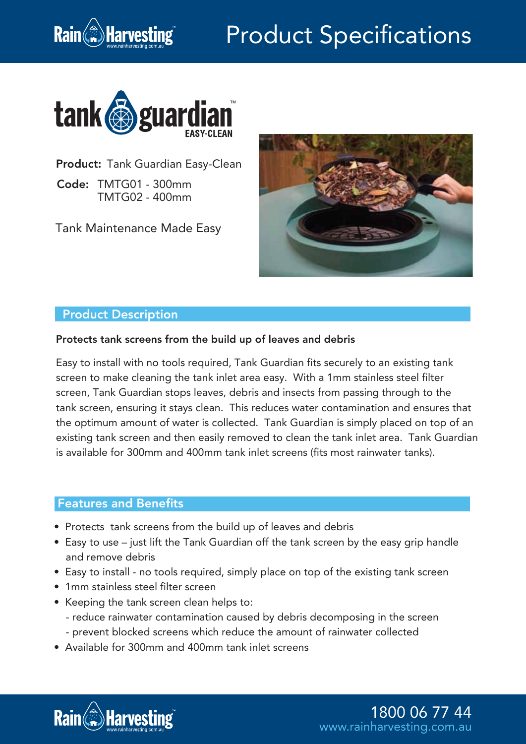# Product Specifications



Product: Tank Guardian Easy-Clean

Code: TMTG01 - 300mm TMTG02 - 400mm

**Rain**<sup>2</sup>/**Harvesting** 

Tank Maintenance Made Easy



#### Product Description

#### Protects tank screens from the build up of leaves and debris

Easy to install with no tools required, Tank Guardian fits securely to an existing tank screen to make cleaning the tank inlet area easy. With a 1mm stainless steel filter screen, Tank Guardian stops leaves, debris and insects from passing through to the tank screen, ensuring it stays clean. This reduces water contamination and ensures that the optimum amount of water is collected. Tank Guardian is simply placed on top of an existing tank screen and then easily removed to clean the tank inlet area. Tank Guardian is available for 300mm and 400mm tank inlet screens (fits most rainwater tanks).

### Features and Benefits

- Protects tank screens from the build up of leaves and debris
- Easy to use just lift the Tank Guardian off the tank screen by the easy grip handle and remove debris
- Easy to install no tools required, simply place on top of the existing tank screen
- 1mm stainless steel filter screen
- Keeping the tank screen clean helps to:
	- reduce rainwater contamination caused by debris decomposing in the screen
	- prevent blocked screens which reduce the amount of rainwater collected
- Available for 300mm and 400mm tank inlet screens



1800 06 77 44 www.rainharvesting.com.au